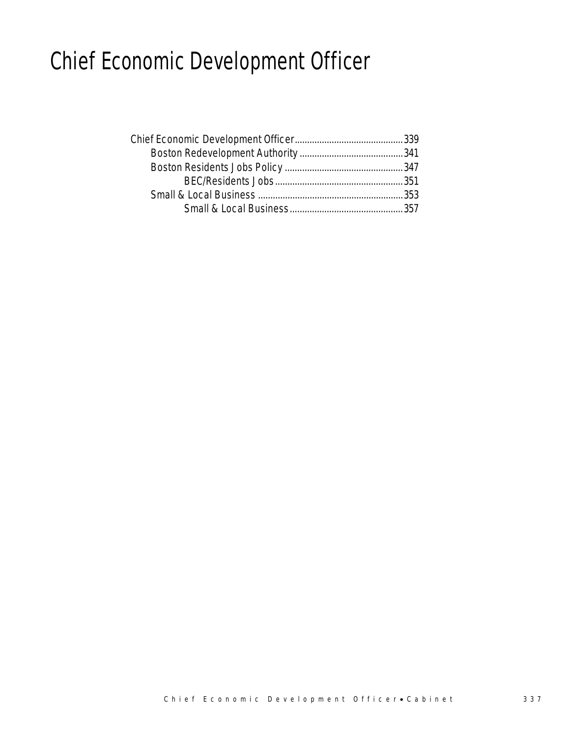# Chief Economic Development Officer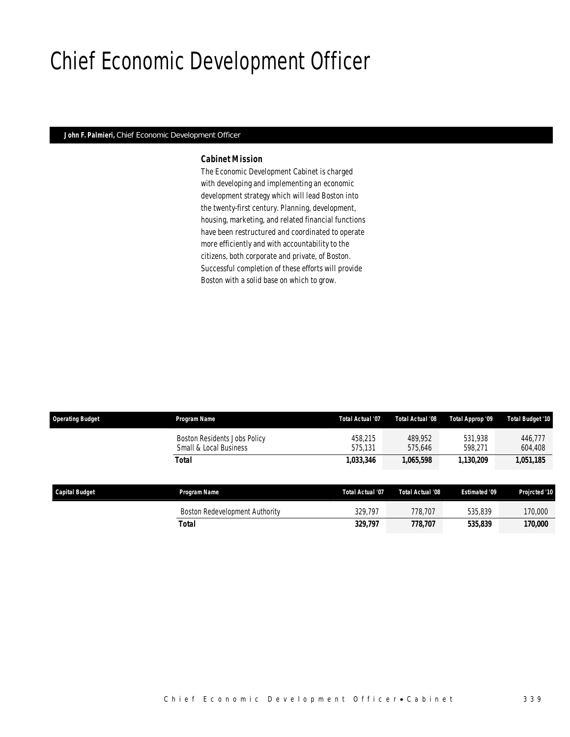# Chief Economic Development Officer

## *John F. Palmieri, Chief Economic Development Officer*

### *Cabinet Mission*

The Economic Development Cabinet is charged with developing and implementing an economic development strategy which will lead Boston into the twenty-first century. Planning, development, housing, marketing, and related financial functions have been restructured and coordinated to operate more efficiently and with accountability to the citizens, both corporate and private, of Boston. Successful completion of these efforts will provide Boston with a solid base on which to grow.

| <b>Operating Budget</b> | Program Name                                           | <b>Total Actual '07</b> | Total Actual '08        | Total Approp '09     | Total Budget '10      |
|-------------------------|--------------------------------------------------------|-------------------------|-------------------------|----------------------|-----------------------|
|                         | Boston Residents Jobs Policy<br>Small & Local Business | 458.215<br>575.131      | 489.952<br>575.646      | 531,938<br>598.271   | 446.777<br>604,408    |
|                         | Total                                                  | 1,033,346               | 1,065,598               | 1,130,209            | 1,051,185             |
|                         |                                                        |                         |                         |                      |                       |
| Capital Budget          | Program Name                                           | Total Actual '07        | <b>Total Actual '08</b> | <b>Estimated '09</b> | Projrcted '10         |
|                         | Boston Redevelopment Authority                         | 329.797                 | 778,707                 | 535,839              | 170,000               |
|                         | <b>Total</b>                                           | 329,797                 | 778,707                 | 535,839              | <i><b>170,000</b></i> |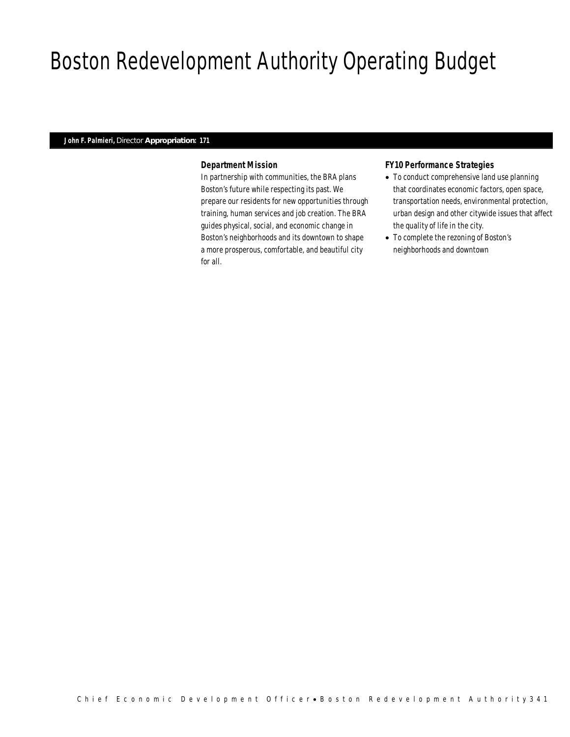# Boston Redevelopment Authority Operating Budget

### *John F. Palmieri, Director Appropriation: 171*

## *Department Mission*

In partnership with communities, the BRA plans Boston's future while respecting its past. We prepare our residents for new opportunities through training, human services and job creation. The BRA guides physical, social, and economic change in Boston's neighborhoods and its downtown to shape a more prosperous, comfortable, and beautiful city for all.

### *FY10 Performance Strategies*

- To conduct comprehensive land use planning that coordinates economic factors, open space, transportation needs, environmental protection, urban design and other citywide issues that affect the quality of life in the city.
- To complete the rezoning of Boston's neighborhoods and downtown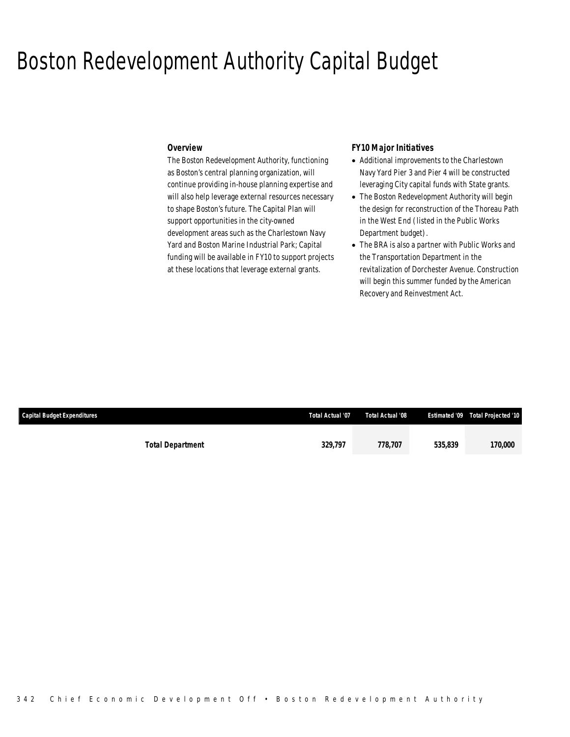## Boston Redevelopment Authority Capital Budget

## *Overview*

The Boston Redevelopment Authority, functioning as Boston's central planning organization, will continue providing in-house planning expertise and will also help leverage external resources necessary to shape Boston's future. The Capital Plan will support opportunities in the city-owned development areas such as the Charlestown Navy Yard and Boston Marine Industrial Park; Capital funding will be available in FY10 to support projects at these locations that leverage external grants.

### *FY10 Major Initiatives*

- Additional improvements to the Charlestown Navy Yard Pier 3 and Pier 4 will be constructed leveraging City capital funds with State grants.
- The Boston Redevelopment Authority will begin the design for reconstruction of the Thoreau Path in the West End (listed in the Public Works Department budget).
- The BRA is also a partner with Public Works and the Transportation Department in the revitalization of Dorchester Avenue. Construction will begin this summer funded by the American Recovery and Reinvestment Act.

| <b>Capital Budget Expenditures</b> |                         | Total Actual '07 | Total Actual '08 |         | Estimated '09  Total Projected '10 |
|------------------------------------|-------------------------|------------------|------------------|---------|------------------------------------|
|                                    |                         |                  |                  |         |                                    |
|                                    | <b>Total Department</b> | 329,797          | 778.707          | 535.839 | 170,000                            |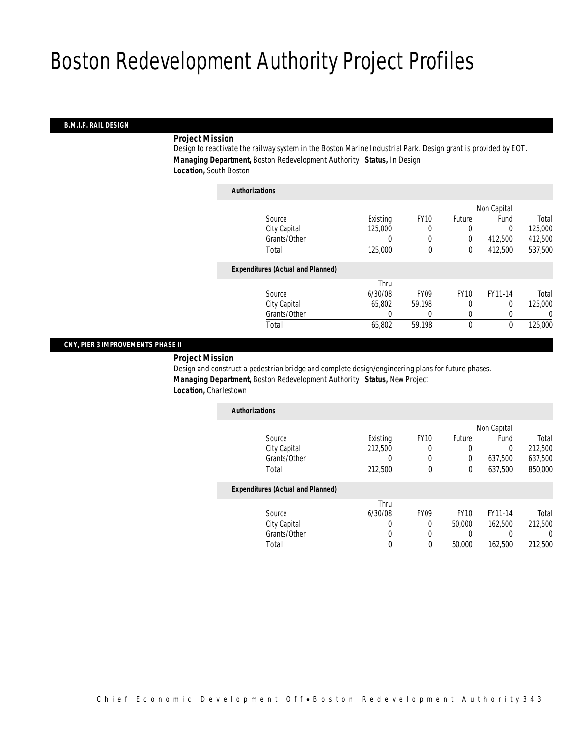# Boston Redevelopment Authority Project Profiles

### *B.M.I.P. RAIL DESIGN*

## *Project Mission*

Design to reactivate the railway system in the Boston Marine Industrial Park. Design grant is provided by EOT. *Managing Department,* Boston Redevelopment Authority *Status,* In Design *Location,* South Boston

| <b>Authorizations</b>                    |          |             |              |             |         |
|------------------------------------------|----------|-------------|--------------|-------------|---------|
|                                          |          |             |              | Non Capital |         |
| Source                                   | Existing | <b>FY10</b> | Future       | Fund        | Total   |
| City Capital                             | 125,000  |             | 0            | 0           | 125,000 |
| Grants/Other                             | 0        | 0           | 0            | 412,500     | 412,500 |
| Total                                    | 125,000  | 0           | $\mathbf 0$  | 412.500     | 537,500 |
| <b>Expenditures (Actual and Planned)</b> |          |             |              |             |         |
|                                          | Thru     |             |              |             |         |
| Source                                   | 6/30/08  | <b>FY09</b> | <b>FY10</b>  | FY11-14     | Total   |
| City Capital                             | 65,802   | 59.198      | 0            | 0           | 125,000 |
| Grants/Other                             | 0        | $\Omega$    | 0            | 0           | 0       |
| Total                                    | 65,802   | 59,198      | $\mathbf{0}$ | 0           | 125,000 |
|                                          |          |             |              |             |         |

### *CNY, PIER 3 IMPROVEMENTS PHASE II*

*Project Mission* 

Design and construct a pedestrian bridge and complete design/engineering plans for future phases. *Managing Department,* Boston Redevelopment Authority *Status,* New Project *Location,* Charlestown

| <b>Authorizations</b>                    |          |             |               |             |         |
|------------------------------------------|----------|-------------|---------------|-------------|---------|
|                                          |          |             |               | Non Capital |         |
| Source                                   | Existing | <b>FY10</b> | <b>Future</b> | Fund        | Total   |
| City Capital                             | 212,500  | 0           | 0             | 0           | 212,500 |
| Grants/Other                             | 0        |             |               | 637,500     | 637,500 |
| Total                                    | 212,500  | $\theta$    | 0             | 637,500     | 850,000 |
| <b>Expenditures (Actual and Planned)</b> |          |             |               |             |         |
|                                          | Thru     |             |               |             |         |
| Source                                   | 6/30/08  | <b>FY09</b> | <b>FY10</b>   | FY11-14     | Total   |
| City Capital                             | 0        | 0           | 50,000        | 162.500     | 212,500 |
| Grants/Other                             | 0        |             |               |             |         |
| Total                                    | 0        | $\theta$    | 50,000        | 162,500     | 212,500 |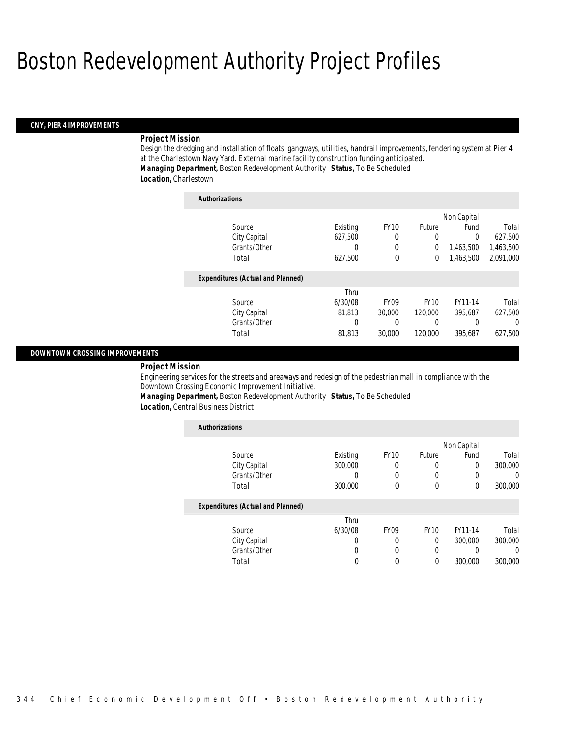## Boston Redevelopment Authority Project Profiles

#### *CNY, PIER 4 IMPROVEMENTS*

### *Project Mission*

Design the dredging and installation of floats, gangways, utilities, handrail improvements, fendering system at Pier 4 at the Charlestown Navy Yard. External marine facility construction funding anticipated. *Managing Department,* Boston Redevelopment Authority *Status,* To Be Scheduled *Location,* Charlestown

| <b>Authorizations</b>                    |          |                  |             |             |           |
|------------------------------------------|----------|------------------|-------------|-------------|-----------|
|                                          |          |                  |             | Non Capital |           |
| Source                                   | Existing | <b>FY10</b>      | Future      | Fund        | Total     |
| City Capital                             | 627,500  | 0                | 0           | $\Omega$    | 627,500   |
| Grants/Other                             | 0        | $\left($         | 0           | 1,463,500   | 1,463,500 |
| Total                                    | 627.500  | $\theta$         | 0           | 1.463.500   | 2.091.000 |
| <b>Expenditures (Actual and Planned)</b> |          |                  |             |             |           |
|                                          | Thru     |                  |             |             |           |
| Source                                   | 6/30/08  | FY <sub>09</sub> | <b>FY10</b> | FY11-14     | Total     |
| City Capital                             | 81.813   | 30,000           | 120,000     | 395.687     | 627.500   |
| Grants/Other                             | 0        | 0                | 0           |             | $\Omega$  |
| Total                                    | 81,813   | 30,000           | 120,000     | 395.687     | 627.500   |

### *DOWNTOWN CROSSING IMPROVEMENTS*

*Project Mission* 

Engineering services for the streets and areaways and redesign of the pedestrian mall in compliance with the Downtown Crossing Economic Improvement Initiative.

*Managing Department,* Boston Redevelopment Authority *Status,* To Be Scheduled

*Location,* Central Business District

| <b>Authorizations</b>                    |          |             |               |             |                  |
|------------------------------------------|----------|-------------|---------------|-------------|------------------|
|                                          |          |             |               | Non Capital |                  |
| Source                                   | Existing | <b>FY10</b> | <b>Future</b> | Fund        | Total            |
| City Capital                             | 300,000  |             | 0             | 0           | 300,000          |
| Grants/Other                             | 0        | $\Omega$    | 0             | 0           | $\left( \right)$ |
| Total                                    | 300,000  | 0           | $\theta$      | 0           | 300,000          |
| <b>Expenditures (Actual and Planned)</b> |          |             |               |             |                  |
|                                          | Thru     |             |               |             |                  |
| Source                                   | 6/30/08  | <b>FY09</b> | <b>FY10</b>   | FY11-14     | Total            |
| City Capital                             | 0        | 0           | $\theta$      | 300,000     | 300,000          |
| Grants/Other                             |          |             |               |             |                  |
| Total                                    | 0        | 0           | $\theta$      | 300,000     | 300,000          |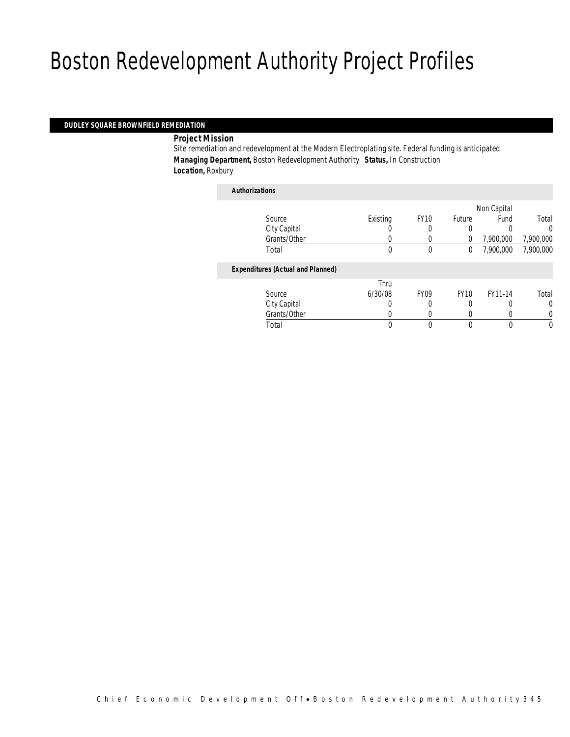# Boston Redevelopment Authority Project Profiles

## *DUDLEY SQUARE BROWNFIELD REMEDIATION*

*Project Mission* 

Site remediation and redevelopment at the Modern Electroplating site. Federal funding is anticipated. *Managing Department,* Boston Redevelopment Authority *Status,* In Construction *Location,* Roxbury

| <b>Authorizations</b>                    |          |             |             |             |           |
|------------------------------------------|----------|-------------|-------------|-------------|-----------|
|                                          |          |             |             | Non Capital |           |
| Source                                   | Existing | <b>FY10</b> | Future      | Fund        | Total     |
| City Capital                             |          |             |             |             | 0         |
| Grants/Other                             |          |             | 0           | 7,900,000   | 7,900,000 |
| Total                                    | 0        | 0           | 0           | 7,900,000   | 7,900,000 |
| <b>Expenditures (Actual and Planned)</b> |          |             |             |             |           |
|                                          | Thru     |             |             |             |           |
| Source                                   | 6/30/08  | <b>FY09</b> | <b>FY10</b> | FY11-14     | Total     |
| City Capital                             |          |             |             |             | 0         |
| Grants/Other                             |          |             | 0           |             | 0         |
| Total                                    | 0        | $\theta$    | $\theta$    | 0           | 0         |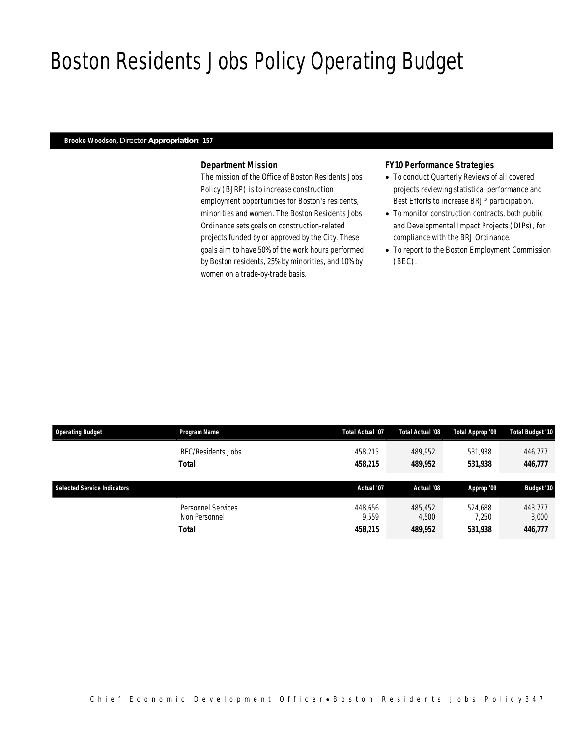# Boston Residents Jobs Policy Operating Budget

### *Brooke Woodson, Director Appropriation: 157*

## *Department Mission*

The mission of the Office of Boston Residents Jobs Policy (BJRP) is to increase construction employment opportunities for Boston's residents, minorities and women. The Boston Residents Jobs Ordinance sets goals on construction-related projects funded by or approved by the City. These goals aim to have 50% of the work hours performed by Boston residents, 25% by minorities, and 10% by women on a trade-by-trade basis.

### *FY10 Performance Strategies*

- To conduct Quarterly Reviews of all covered projects reviewing statistical performance and Best Efforts to increase BRJP participation.
- To monitor construction contracts, both public and Developmental Impact Projects (DIPs), for compliance with the BRJ Ordinance.
- To report to the Boston Employment Commission (BEC).

| <b>Operating Budget</b>            | Program Name                        | <b>Total Actual '07</b> | Total Actual '08 | Total Approp '09 | Total Budget '10  |
|------------------------------------|-------------------------------------|-------------------------|------------------|------------------|-------------------|
|                                    | BEC/Residents Jobs                  | 458.215                 | 489.952          | 531,938          | 446,777           |
|                                    | <b>Total</b>                        | 458,215                 | 489,952          | 531,938          | 446,777           |
| <b>Selected Service Indicators</b> |                                     | Actual '07              | Actual '08       | Approp '09       | <b>Budget '10</b> |
|                                    |                                     |                         |                  |                  |                   |
|                                    | Personnel Services<br>Non Personnel | 448.656<br>9.559        | 485,452<br>4.500 | 524.688<br>7.250 | 443.777<br>3,000  |
|                                    | <b>Total</b>                        | 458,215                 | 489,952          | 531,938          | 446,777           |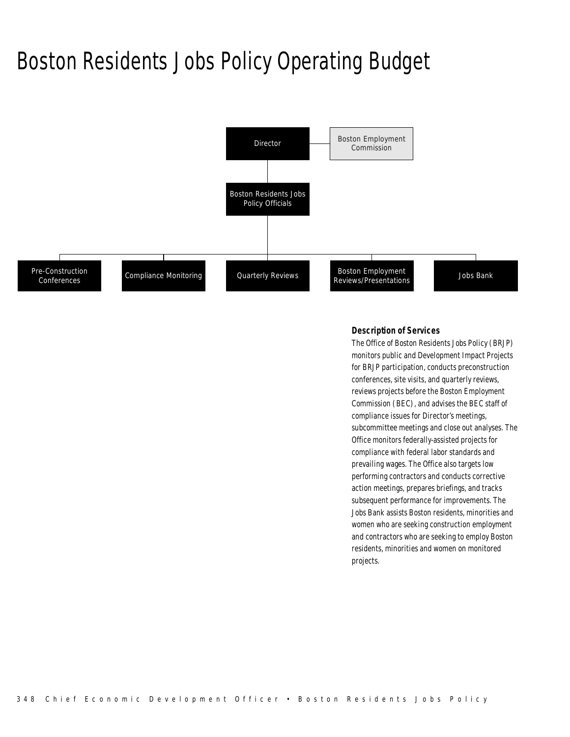## Boston Residents Jobs Policy Operating Budget



#### *Description of Services*

The Office of Boston Residents Jobs Policy (BRJP) monitors public and Development Impact Projects for BRJP participation, conducts preconstruction conferences, site visits, and quarterly reviews, reviews projects before the Boston Employment Commission (BEC), and advises the BEC staff of compliance issues for Director's meetings, subcommittee meetings and close out analyses. The Office monitors federally-assisted projects for compliance with federal labor standards and prevailing wages. The Office also targets low performing contractors and conducts corrective action meetings, prepares briefings, and tracks subsequent performance for improvements. The Jobs Bank assists Boston residents, minorities and women who are seeking construction employment and contractors who are seeking to employ Boston residents, minorities and women on monitored projects.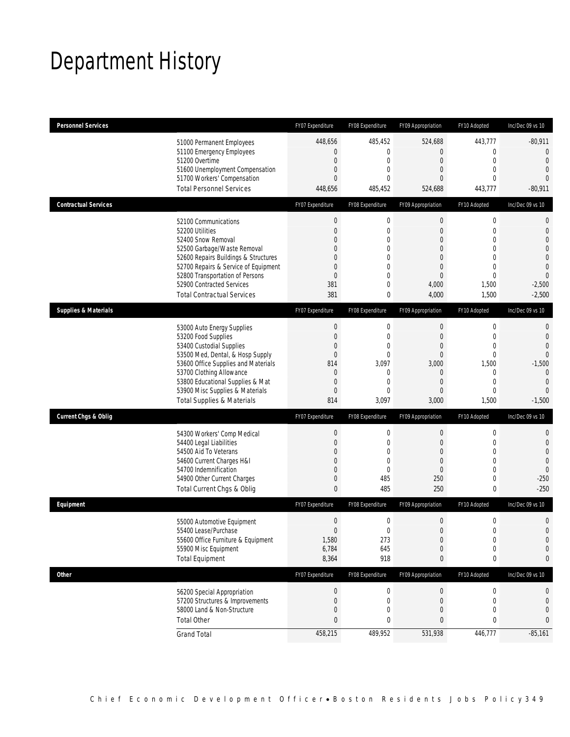# Department History

| <b>Personnel Services</b>       |                                                                 | FY07 Expenditure              | FY08 Expenditure  | FY09 Appropriation           | FY10 Adopted                 | Inc/Dec 09 vs 10                 |
|---------------------------------|-----------------------------------------------------------------|-------------------------------|-------------------|------------------------------|------------------------------|----------------------------------|
|                                 | 51000 Permanent Employees                                       | 448,656                       | 485,452           | 524,688                      | 443,777                      | $-80,911$                        |
|                                 | 51100 Emergency Employees                                       | 0                             | $\boldsymbol{0}$  | $\mathbf 0$                  | $\mathbf 0$                  | $\mathbf 0$                      |
|                                 | 51200 Overtime                                                  | 0                             | $\boldsymbol{0}$  | $\mathbf{0}$                 | $\mathbf 0$                  | $\overline{0}$                   |
|                                 | 51600 Unemployment Compensation<br>51700 Workers' Compensation  | $\mathbf 0$<br>$\overline{0}$ | 0<br>$\mathbf 0$  | $\mathbf{0}$<br>$\mathbf{0}$ | $\mathbf{0}$<br>$\mathbf{0}$ | $\overline{0}$<br>$\overline{0}$ |
|                                 | <b>Total Personnel Services</b>                                 | 448,656                       | 485,452           | 524,688                      | 443,777                      | $-80,911$                        |
| <b>Contractual Services</b>     |                                                                 | FY07 Expenditure              | FY08 Expenditure  | FY09 Appropriation           | FY10 Adopted                 | Inc/Dec 09 vs 10                 |
|                                 | 52100 Communications                                            | $\boldsymbol{0}$              | $\boldsymbol{0}$  | $\boldsymbol{0}$             | $\boldsymbol{0}$             | 0                                |
|                                 | 52200 Utilities                                                 | $\overline{0}$                | $\boldsymbol{0}$  | $\mathbf{0}$                 | $\mathbf 0$                  | $\mathbf{0}$                     |
|                                 | 52400 Snow Removal                                              | $\overline{0}$                | 0                 | $\mathbf{0}$                 | $\mathbf{0}$                 | $\overline{0}$                   |
|                                 | 52500 Garbage/Waste Removal                                     | $\overline{0}$                | 0                 | $\mathbf 0$                  | $\mathbf{0}$                 | $\mathbf{0}$                     |
|                                 | 52600 Repairs Buildings & Structures                            | $\overline{0}$                | $\mathbf{0}$      | $\mathbf{0}$                 | $\mathbf{0}$                 | $\mathbf 0$                      |
|                                 | 52700 Repairs & Service of Equipment                            | $\overline{0}$                | 0                 | $\mathbf{0}$                 | $\mathbf{0}$                 | $\overline{0}$                   |
|                                 | 52800 Transportation of Persons                                 | 0                             | 0                 | $\mathbf{0}$                 | $\mathbf{0}$                 | $\overline{0}$                   |
|                                 | 52900 Contracted Services<br><b>Total Contractual Services</b>  | 381<br>381                    | $\mathbf{0}$<br>0 | 4,000<br>4,000               | 1,500<br>1,500               | $-2,500$<br>$-2,500$             |
|                                 |                                                                 |                               |                   |                              |                              |                                  |
| <b>Supplies &amp; Materials</b> |                                                                 | FY07 Expenditure              | FY08 Expenditure  | FY09 Appropriation           | FY10 Adopted                 | Inc/Dec 09 vs 10                 |
|                                 | 53000 Auto Energy Supplies                                      | 0                             | 0                 | $\boldsymbol{0}$             | $\mathbf 0$                  | 0                                |
|                                 | 53200 Food Supplies                                             | $\mathbf 0$                   | $\boldsymbol{0}$  | $\mathbf{0}$                 | $\mathbf 0$                  | $\mathbf{0}$                     |
|                                 | 53400 Custodial Supplies                                        | $\overline{0}$                | $\mathbf{0}$      | $\mathbf{0}$                 | $\mathbf{0}$                 | $\overline{0}$                   |
|                                 | 53500 Med, Dental, & Hosp Supply                                | $\mathbf 0$                   | $\mathbf 0$       | $\boldsymbol{0}$             | $\mathbf{0}$<br>1,500        | $\overline{0}$                   |
|                                 | 53600 Office Supplies and Materials<br>53700 Clothing Allowance | 814<br>$\mathbf 0$            | 3,097<br>0        | 3,000<br>0                   | 0                            | $-1,500$<br>$\overline{0}$       |
|                                 | 53800 Educational Supplies & Mat                                | 0                             | 0                 | $\mathbf{0}$                 | $\mathbf{0}$                 | $\overline{0}$                   |
|                                 | 53900 Misc Supplies & Materials                                 | $\mathbf 0$                   | $\mathbf{0}$      | $\mathbf{0}$                 | $\mathbf{0}$                 | $\overline{0}$                   |
|                                 | <b>Total Supplies &amp; Materials</b>                           | 814                           | 3,097             | 3,000                        | 1,500                        | $-1,500$                         |
| <b>Current Chgs &amp; Oblig</b> |                                                                 | FY07 Expenditure              | FY08 Expenditure  | FY09 Appropriation           | FY10 Adopted                 | Inc/Dec 09 vs 10                 |
|                                 | 54300 Workers' Comp Medical                                     | $\boldsymbol{0}$              | $\boldsymbol{0}$  | $\boldsymbol{0}$             | $\mathbf 0$                  | $\mathbf 0$                      |
|                                 | 54400 Legal Liabilities                                         | $\mathbf 0$                   | $\boldsymbol{0}$  | $\mathbf{0}$                 | $\mathbf 0$                  | $\mathbf 0$                      |
|                                 | 54500 Aid To Veterans                                           | $\overline{0}$                | $\mathbf{0}$      | $\mathbf{0}$                 | $\mathbf{0}$                 | $\overline{0}$                   |
|                                 | 54600 Current Charges H&I                                       | 0                             | $\boldsymbol{0}$  | $\mathbf{0}$                 | $\mathbf 0$                  | $\mathbf{0}$                     |
|                                 | 54700 Indemnification                                           | $\overline{0}$                | 0                 | $\mathbf{0}$                 | $\mathbf{0}$                 | $\theta$                         |
|                                 | 54900 Other Current Charges                                     | $\mathbf 0$                   | 485               | 250                          | $\mathbf 0$                  | $-250$                           |
|                                 | Total Current Chgs & Oblig                                      | 0                             | 485               | 250                          | 0                            | $-250$                           |
| Equipment                       |                                                                 | FY07 Expenditure              | FY08 Expenditure  | FY09 Appropriation           | FY10 Adopted                 | Inc/Dec 09 vs 10                 |
|                                 | 55000 Automotive Equipment                                      | 0                             | 0                 | $\boldsymbol{0}$             | $\mathbf 0$                  | $\mathbf 0$                      |
|                                 | 55400 Lease/Purchase                                            | $\Omega$                      | $\Omega$          | $\Omega$                     | $\Omega$                     | $\Omega$                         |
|                                 | 55600 Office Furniture & Equipment                              | 1,580                         | 273               | $\boldsymbol{0}$             | $\mathbf 0$                  | $\mathbf 0$                      |
|                                 | 55900 Misc Equipment                                            | 6,784                         | 645               | 0                            | $\mathbf 0$                  | $\mathbf 0$                      |
|                                 | <b>Total Equipment</b>                                          | 8,364                         | 918               | 0                            | 0                            | 0                                |
| Other                           |                                                                 | FY07 Expenditure              | FY08 Expenditure  | FY09 Appropriation           | FY10 Adopted                 | Inc/Dec 09 vs 10                 |
|                                 | 56200 Special Appropriation                                     | $\theta$                      | $\boldsymbol{0}$  | $\boldsymbol{0}$             | $\boldsymbol{0}$             | 0                                |
|                                 | 57200 Structures & Improvements                                 | $\boldsymbol{0}$              | 0                 | 0                            | $\boldsymbol{0}$             | $\theta$                         |
|                                 | 58000 Land & Non-Structure                                      | 0                             | 0                 | 0                            | $\mathbf{0}$                 | 0                                |
|                                 | <b>Total Other</b>                                              | 0                             | 0                 | 0                            | 0                            | 0                                |
|                                 | <b>Grand Total</b>                                              | 458,215                       | 489,952           | 531,938                      | 446,777                      | $-85,161$                        |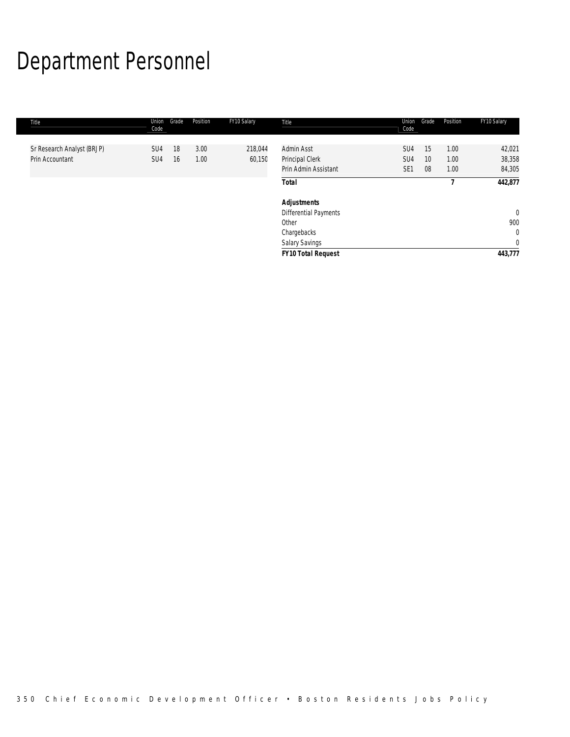# Department Personnel

| Title                                         | Union<br>Code                      | Grade    | Position     | FY10 Salary       | Title                                                 | Union<br>Code                             | Grade                       | Position             | FY10 Salary                |
|-----------------------------------------------|------------------------------------|----------|--------------|-------------------|-------------------------------------------------------|-------------------------------------------|-----------------------------|----------------------|----------------------------|
| Sr Research Analyst (BRJP)<br>Prin Accountant | SU <sub>4</sub><br>SU <sub>4</sub> | 18<br>16 | 3.00<br>1.00 | 218,044<br>60,150 | Admin Asst<br>Principal Clerk<br>Prin Admin Assistant | SU4<br>SU <sub>4</sub><br>SE <sub>1</sub> | 15<br>10 <sup>°</sup><br>08 | 1.00<br>1.00<br>1.00 | 42,021<br>38,358<br>84,305 |
|                                               |                                    |          |              |                   | <b>Total</b>                                          |                                           |                             |                      | 442,877                    |
|                                               |                                    |          |              |                   | <b>Adjustments</b>                                    |                                           |                             |                      |                            |
|                                               |                                    |          |              |                   | Differential Payments                                 |                                           |                             |                      | $\mathbf{0}$               |
|                                               |                                    |          |              |                   | Other                                                 |                                           |                             |                      | 900                        |
|                                               |                                    |          |              |                   | Chargebacks                                           |                                           |                             |                      | $\mathbf 0$                |
|                                               |                                    |          |              |                   | Salary Savings                                        |                                           |                             |                      | $\theta$                   |
|                                               |                                    |          |              |                   | <b>FY10 Total Request</b>                             |                                           |                             |                      | 443,777                    |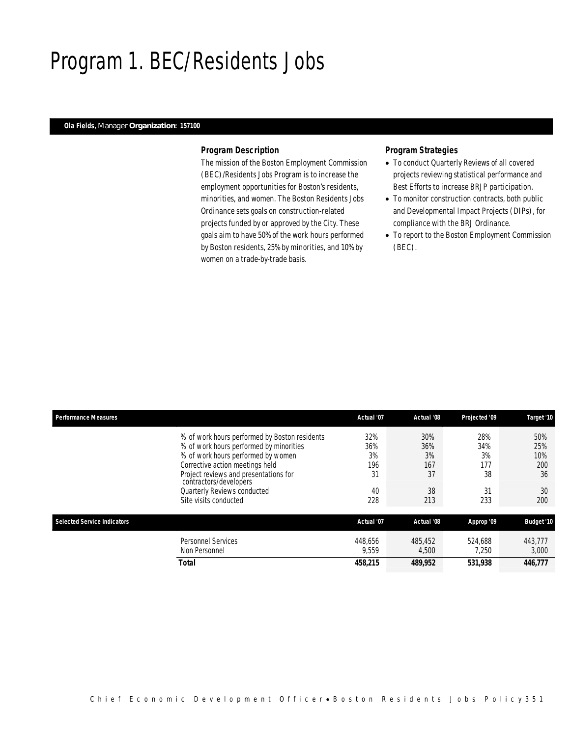## Program 1. BEC/Residents Jobs

## *Ola Fields, Manager Organization: 157100*

### *Program Description*

The mission of the Boston Employment Commission (BEC)/Residents Jobs Program is to increase the employment opportunities for Boston's residents, minorities, and women. The Boston Residents Jobs Ordinance sets goals on construction-related projects funded by or approved by the City. These goals aim to have 50% of the work hours performed by Boston residents, 25% by minorities, and 10% by women on a trade-by-trade basis.

## *Program Strategies*

- To conduct Quarterly Reviews of all covered projects reviewing statistical performance and Best Efforts to increase BRJP participation.
- To monitor construction contracts, both public and Developmental Impact Projects (DIPs), for compliance with the BRJ Ordinance.
- To report to the Boston Employment Commission (BEC).

| <b>Performance Measures</b> |                                                                 | Actual '07 | Actual '08 | Projected '09 | Target '10        |
|-----------------------------|-----------------------------------------------------------------|------------|------------|---------------|-------------------|
|                             | % of work hours performed by Boston residents                   | 32%        | 30%        | 28%           | 50%               |
|                             | % of work hours performed by minorities                         | 36%        | 36%        | 34%           | 25%               |
|                             | % of work hours performed by women                              | 3%         | 3%         | 3%            | 10%               |
|                             | Corrective action meetings held                                 | 196        | 167        | 177           | 200               |
|                             | Project reviews and presentations for<br>contractors/developers | 31         | 37         | 38            | 36                |
|                             | Quarterly Reviews conducted                                     | 40         | 38         | 31            | 30                |
|                             | Site visits conducted                                           | 228        | 213        | 233           | 200               |
| Selected Service Indicators |                                                                 | Actual '07 | Actual '08 | Approp '09    | <b>Budget '10</b> |
|                             | <b>Personnel Services</b>                                       | 448.656    | 485,452    | 524.688       | 443.777           |
|                             | Non Personnel                                                   | 9,559      | 4,500      | 7.250         | 3,000             |
|                             | Total                                                           | 458.215    | 489.952    | 531.938       | 446,777           |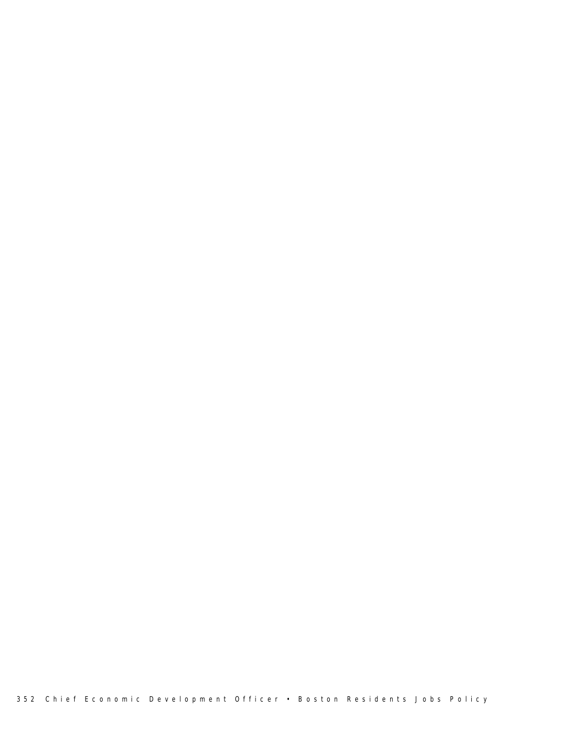352 Chief Economic Developm ent Officer • Boston Re sidents Jobs Policy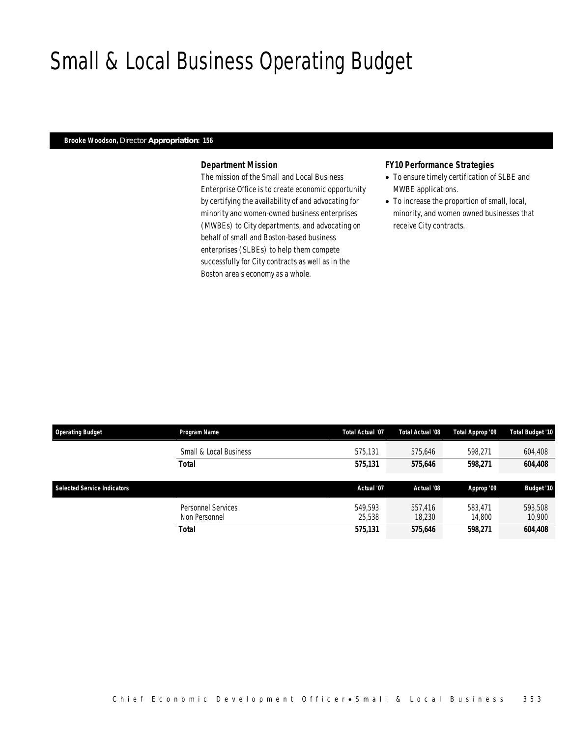# Small & Local Business Operating Budget

### *Brooke Woodson, Director Appropriation: 156*

## *Department Mission*

The mission of the Small and Local Business Enterprise Office is to create economic opportunity by certifying the availability of and advocating for minority and women-owned business enterprises (MWBEs) to City departments, and advocating on behalf of small and Boston-based business enterprises (SLBEs) to help them compete successfully for City contracts as well as in the Boston area's economy as a whole.

### *FY10 Performance Strategies*

- To ensure timely certification of SLBE and MWBE applications.
- To increase the proportion of small, local, minority, and women owned businesses that receive City contracts.

| <b>Operating Budget</b>            | Program Name                        | <b>Total Actual '07</b> | Total Actual '08  | Total Approp '09  | Total Budget '10  |
|------------------------------------|-------------------------------------|-------------------------|-------------------|-------------------|-------------------|
|                                    | Small & Local Business              | 575.131                 | 575,646           | 598.271           | 604,408           |
|                                    | Total                               | 575,131                 | 575,646           | 598.271           | 604,408           |
| <b>Selected Service Indicators</b> |                                     | Actual '07              | Actual '08        | Approp '09        | <b>Budget '10</b> |
|                                    | Personnel Services<br>Non Personnel | 549.593<br>25,538       | 557,416<br>18,230 | 583,471<br>14.800 | 593,508<br>10,900 |
|                                    | <b>Total</b>                        | 575,131                 | 575,646           | 598,271           | 604,408           |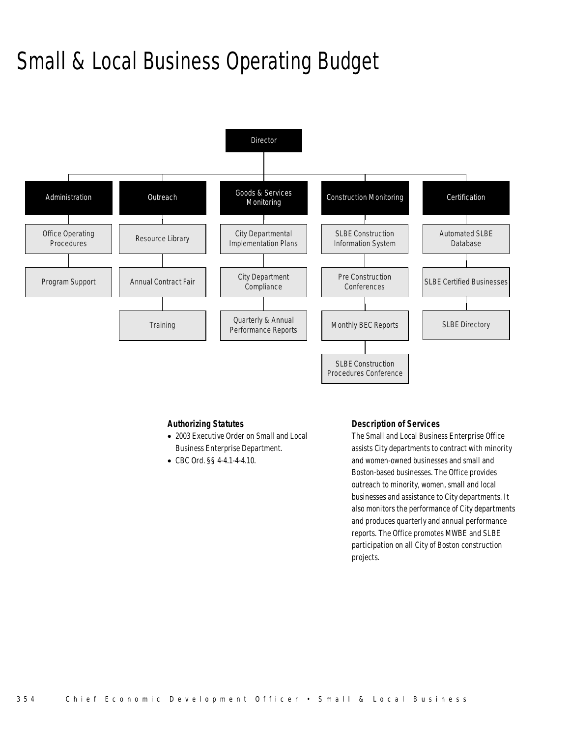# Small & Local Business Operating Budget



## *Authorizing Statutes*

- 2003 Executive Order on Small and Local Business Enterprise Department.
- CBC Ord. §§ 4-4.1-4-4.10.

## *Description of Services*

The Small and Local Business Enterprise Office assists City departments to contract with minority and women-owned businesses and small and Boston-based businesses. The Office provides outreach to minority, women, small and local businesses and assistance to City departments. It also monitors the performance of City departments and produces quarterly and annual performance reports. The Office promotes MWBE and SLBE participation on all City of Boston construction projects.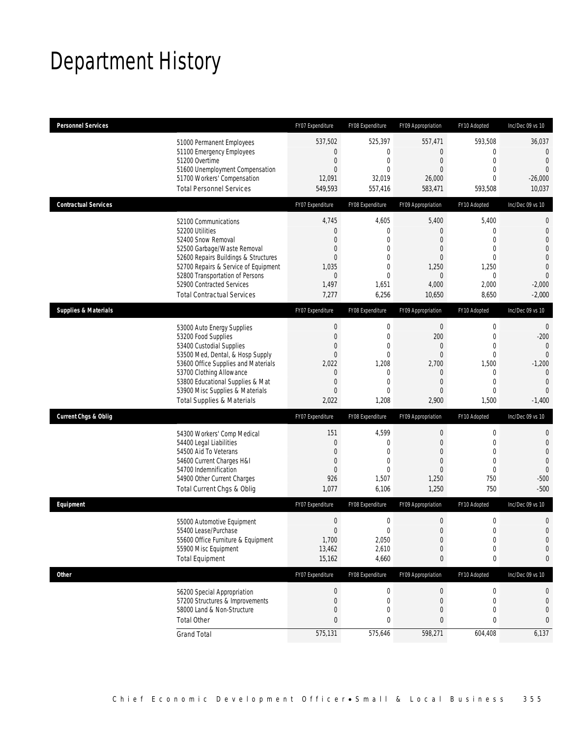# Department History

| <b>Personnel Services</b>       |                                       | FY07 Expenditure | FY08 Expenditure | FY09 Appropriation | FY10 Adopted     | Inc/Dec 09 vs 10 |
|---------------------------------|---------------------------------------|------------------|------------------|--------------------|------------------|------------------|
|                                 | 51000 Permanent Employees             | 537,502          | 525,397          | 557,471            | 593,508          | 36,037           |
|                                 | 51100 Emergency Employees             | 0                | 0                | $\mathbf 0$        | 0                | 0                |
|                                 | 51200 Overtime                        | $\mathbf 0$      | $\overline{0}$   | $\boldsymbol{0}$   | $\mathbf{0}$     | $\theta$         |
|                                 | 51600 Unemployment Compensation       | $\overline{0}$   | $\Omega$         | $\overline{0}$     | $\overline{0}$   | $\overline{0}$   |
|                                 | 51700 Workers' Compensation           | 12,091           | 32,019           | 26,000             | $\overline{0}$   | $-26,000$        |
|                                 | <b>Total Personnel Services</b>       | 549,593          | 557,416          | 583,471            | 593,508          | 10,037           |
| <b>Contractual Services</b>     |                                       | FY07 Expenditure | FY08 Expenditure | FY09 Appropriation | FY10 Adopted     | Inc/Dec 09 vs 10 |
|                                 | 52100 Communications                  | 4,745            | 4,605            | 5,400              | 5,400            | 0                |
|                                 | 52200 Utilities                       | $\theta$         | 0                | 0                  | $\mathbf 0$      | $\mathbf 0$      |
|                                 | 52400 Snow Removal                    | 0                | $\overline{0}$   | $\overline{0}$     | $\overline{0}$   | 0                |
|                                 | 52500 Garbage/Waste Removal           | 0                | 0                | $\overline{0}$     | $\overline{0}$   | 0                |
|                                 | 52600 Repairs Buildings & Structures  | 0                | $\mathbf{0}$     | $\overline{0}$     | $\mathbf{0}$     | $\mathbf 0$      |
|                                 | 52700 Repairs & Service of Equipment  | 1,035            | $\overline{0}$   | 1,250              | 1,250            | $\overline{0}$   |
|                                 | 52800 Transportation of Persons       | $\theta$         | 0                | $\overline{0}$     | $\mathbf{0}$     | $\overline{0}$   |
|                                 | 52900 Contracted Services             | 1,497            | 1,651            | 4,000              | 2,000            | $-2,000$         |
|                                 | <b>Total Contractual Services</b>     | 7,277            | 6,256            | 10,650             | 8,650            | $-2,000$         |
| <b>Supplies &amp; Materials</b> |                                       | FY07 Expenditure | FY08 Expenditure | FY09 Appropriation | FY10 Adopted     | Inc/Dec 09 vs 10 |
|                                 | 53000 Auto Energy Supplies            | $\boldsymbol{0}$ | $\boldsymbol{0}$ | $\mathbf 0$        | $\boldsymbol{0}$ | 0                |
|                                 | 53200 Food Supplies                   | 0                | $\mathbf{0}$     | 200                | $\overline{0}$   | $-200$           |
|                                 | 53400 Custodial Supplies              | 0                | $\mathbf{0}$     | $\overline{0}$     | $\mathbf 0$      | 0                |
|                                 | 53500 Med, Dental, & Hosp Supply      | 0                | $\mathbf 0$      | $\boldsymbol{0}$   | $\mathbf 0$      | $\mathbf{0}$     |
|                                 | 53600 Office Supplies and Materials   | 2,022            | 1,208            | 2,700              | 1,500            | $-1,200$         |
|                                 | 53700 Clothing Allowance              | $\theta$         | 0                | $\mathbf 0$        | $\mathbf 0$      | $\theta$         |
|                                 | 53800 Educational Supplies & Mat      | 0                | $\mathbf{0}$     | 0                  | $\overline{0}$   | $\overline{0}$   |
|                                 | 53900 Misc Supplies & Materials       | $\overline{0}$   | $\Omega$         | $\overline{0}$     | $\overline{0}$   | $\Omega$         |
|                                 | <b>Total Supplies &amp; Materials</b> | 2,022            | 1,208            | 2,900              | 1,500            | $-1,400$         |
| <b>Current Chgs &amp; Oblig</b> |                                       | FY07 Expenditure | FY08 Expenditure | FY09 Appropriation | FY10 Adopted     | Inc/Dec 09 vs 10 |
|                                 | 54300 Workers' Comp Medical           | 151              | 4,599            | $\boldsymbol{0}$   | $\boldsymbol{0}$ | 0                |
|                                 | 54400 Legal Liabilities               | $\theta$         | 0                | $\overline{0}$     | $\mathbf 0$      | $\mathbf 0$      |
|                                 | 54500 Aid To Veterans                 | 0                | $\Omega$         | 0                  | $\overline{0}$   | $\overline{0}$   |
|                                 | 54600 Current Charges H&I             | $\mathbf 0$      | 0                | $\overline{0}$     | $\mathbf{0}$     | $\mathbf{0}$     |
|                                 | 54700 Indemnification                 | 0                | $\mathbf{0}$     | 0                  | $\mathbf 0$      | $\theta$         |
|                                 | 54900 Other Current Charges           | 926              | 1,507            | 1,250              | 750              | $-500$           |
|                                 | Total Current Chgs & Oblig            | 1,077            | 6,106            | 1,250              | 750              | $-500$           |
| Equipment                       |                                       | FY07 Expenditure | FY08 Expenditure | FY09 Appropriation | FY10 Adopted     | Inc/Dec 09 vs 10 |
|                                 | 55000 Automotive Equipment            | $\boldsymbol{0}$ | 0                | $\boldsymbol{0}$   | $\boldsymbol{0}$ | 0                |
|                                 | 55400 Lease/Purchase                  | $\Omega$         | $\Omega$         | $\Omega$           | $\Omega$         | $\Omega$         |
|                                 | 55600 Office Furniture & Equipment    | 1,700            | 2,050            | $\boldsymbol{0}$   | $\boldsymbol{0}$ | $\mathbf 0$      |
|                                 | 55900 Misc Equipment                  | 13,462           | 2,610            | 0                  | $\boldsymbol{0}$ | 0                |
|                                 | <b>Total Equipment</b>                | 15,162           | 4,660            | 0                  | 0                | 0                |
| Other                           |                                       | FY07 Expenditure | FY08 Expenditure | FY09 Appropriation | FY10 Adopted     | Inc/Dec 09 vs 10 |
|                                 | 56200 Special Appropriation           | $\boldsymbol{0}$ | 0                | 0                  | 0                | 0                |
|                                 | 57200 Structures & Improvements       | $\boldsymbol{0}$ | 0                | $\boldsymbol{0}$   | $\mathbf 0$      | $\theta$         |
|                                 | 58000 Land & Non-Structure            | 0                | 0                | 0                  | $\mathbf{0}$     | 0                |
|                                 | <b>Total Other</b>                    | 0                | 0                | 0                  | 0                | 0                |
|                                 | <b>Grand Total</b>                    | 575,131          | 575,646          | 598,271            | 604,408          | 6,137            |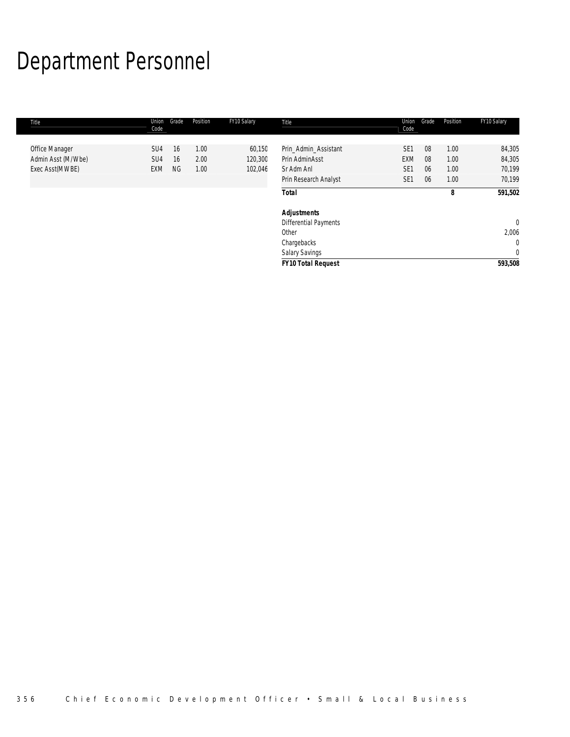# Department Personnel

| Title              | Union<br>Code   | Grade     | Position | FY10 Salary | Title                     | Union<br>Code   | Grade | Position | FY10 Salary    |
|--------------------|-----------------|-----------|----------|-------------|---------------------------|-----------------|-------|----------|----------------|
| Office Manager     | SU <sub>4</sub> | 16        | 1.00     | 60,150      | Prin_Admin_Assistant      | SE <sub>1</sub> | 08    | 1.00     | 84,305         |
| Admin Asst (M/Wbe) | SU <sub>4</sub> | 16        | 2.00     | 120,300     | Prin AdminAsst            | <b>EXM</b>      | 08    | 1.00     | 84,305         |
| Exec Asst(MWBE)    | EXM             | <b>NG</b> | 1.00     | 102,046     | Sr Adm Anl                | SE <sub>1</sub> | 06    | 1.00     | 70,199         |
|                    |                 |           |          |             | Prin Research Analyst     | SE <sub>1</sub> | 06    | 1.00     | 70,199         |
|                    |                 |           |          |             | <b>Total</b>              |                 |       | 8        | 591,502        |
|                    |                 |           |          |             | <b>Adjustments</b>        |                 |       |          |                |
|                    |                 |           |          |             | Differential Payments     |                 |       |          | $\overline{0}$ |
|                    |                 |           |          |             | Other                     |                 |       |          | 2,006          |
|                    |                 |           |          |             | Chargebacks               |                 |       |          | $\mathbf 0$    |
|                    |                 |           |          |             | <b>Salary Savings</b>     |                 |       |          | $\mathbf 0$    |
|                    |                 |           |          |             | <b>FY10 Total Request</b> |                 |       |          | 593,508        |